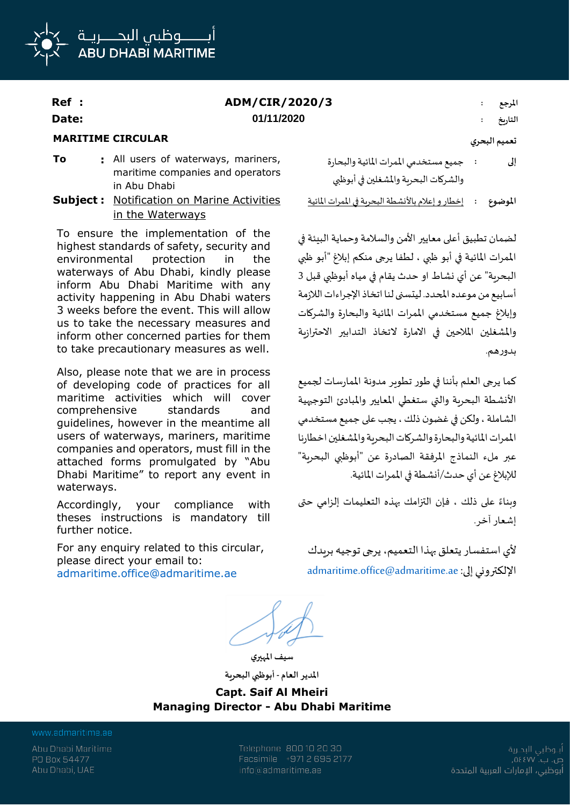

## **Ref : ADM/CIR/2020/3 : املرجع التاريخ : 01/11/2020 :Date**

**تعميم البحري CIRCULAR MARITIME**

- **To :** All users of waterways, mariners, maritime companies and operators in Abu Dhabi
- **Subject :** Notification on Marine Activities in the Waterways

To ensure the implementation of the highest standards of safety, security and environmental protection in the waterways of Abu Dhabi, kindly please inform Abu Dhabi Maritime with any activity happening in Abu Dhabi waters 3 weeks before the event. This will allow us to take the necessary measures and inform other concerned parties for them to take precautionary measures as well.

Also, please note that we are in process of developing code of practices for all maritime activities which will cover comprehensive standards and guidelines, however in the meantime all users of waterways, mariners, maritime companies and operators, must fill in the attached forms promulgated by "Abu Dhabi Maritime" to report any event in waterways.

Accordingly, your compliance with theses instructions is mandatory till further notice.

For any enquiry related to this circular, please direct your email to: admaritime.office@admaritime.ae

جميع مستخدمي الممرات المائية والبحارة والشركات البحرية واملشغلين في أبوظبي **إلى :**

**املوضوع :** إخطار و إعالم باألنشطة البحرية في املمرات املائية

لضمان تطبيق أعلى معايير الأمن والسلامة وحماية البيئة في املمرات املائية في أبو ظبي ، لطفا يرجى منكم إبالغ "أبو ظبي البحرية" عن أي نشاط او حدث يقام في مياه أبوظبي قبل 3 أسابيع من موعده المحدد. ليتسنى لنا اتخاذ الإجراءات اللازمة وإبلاغ جميع مستخدمي الممرات المائية والبحارة والشركات واملشغلين املالحين في االمارة التخاذ التدابير االحترازية بدورهم.

كما يرجى العلم بأننا في طور تطوير مدونة املمارسات لجميع األنشطة البحرية والتي ستغطي املعايير واملبادئ التو جيهية الشاملة ، ولكن في غضون ذلك ، يجب على جميع مستخدمي املمرات املائية والبحارة والشركات البحرية واملشغلين اخطارنا عبر ملء النماذج املرفقة الصادرة عن "أبوظبي البحرية" لإلبالغ عن أي حدث/أنشطة في املمرات املائية.

وبناءً على ذلك ، فإن التزامك بهذه التعليمات إلزامي حتى إشعار آخر.

ألي استفسار يتعلق بهذا التعميم، يرجى توجيه بريدك admaritime.office@admaritime.ae :إلى اإللكتروني

**سيف املهيري**

**املدير العام - أبوظبي البحرية**

**Capt. Saif Al Mheiri Managing Director - Abu Dhabi Maritime**

www.admaritime.ae

Abu Dhabi Maritime PO Box 54477 Abu Dhabi, UAE

Telephone 80010 20 30 Facsimile +971 2 695 2177 info@admaritime.ae

أبــوظبي البحــرية ص. ب. ٧٧] ٥٤ أبوظبي، الإمارات العربية المتحدة